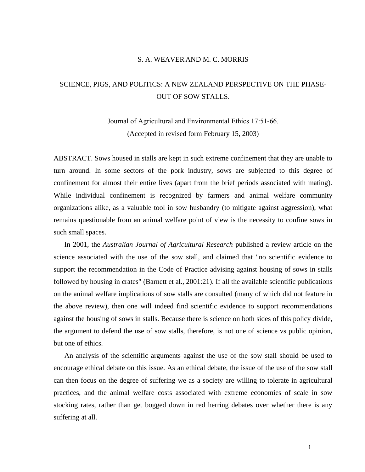# S. A. WEAVER AND M. C. MORRIS

# SCIENCE, PIGS, AND POLITICS: A NEW ZEALAND PERSPECTIVE ON THE PHASE-OUT OF SOW STALLS.

Journal of Agricultural and Environmental Ethics 17:51-66. (Accepted in revised form February 15, 2003)

ABSTRACT. Sows housed in stalls are kept in such extreme confinement that they are unable to turn around. In some sectors of the pork industry, sows are subjected to this degree of confinement for almost their entire lives (apart from the brief periods associated with mating). While individual confinement is recognized by farmers and animal welfare community organizations alike, as a valuable tool in sow husbandry (to mitigate against aggression), what remains questionable from an animal welfare point of view is the necessity to confine sows in such small spaces.

In 2001, the *Australian Journal of Agricultural Research* published a review article on the science associated with the use of the sow stall, and claimed that "no scientific evidence to support the recommendation in the Code of Practice advising against housing of sows in stalls followed by housing in crates" (Barnett et al., 2001:21). If all the available scientific publications on the animal welfare implications of sow stalls are consulted (many of which did not feature in the above review), then one will indeed find scientific evidence to support recommendations against the housing of sows in stalls. Because there is science on both sides of this policy divide, the argument to defend the use of sow stalls, therefore, is not one of science vs public opinion, but one of ethics.

An analysis of the scientific arguments against the use of the sow stall should be used to encourage ethical debate on this issue. As an ethical debate, the issue of the use of the sow stall can then focus on the degree of suffering we as a society are willing to tolerate in agricultural practices, and the animal welfare costs associated with extreme economies of scale in sow stocking rates, rather than get bogged down in red herring debates over whether there is any suffering at all.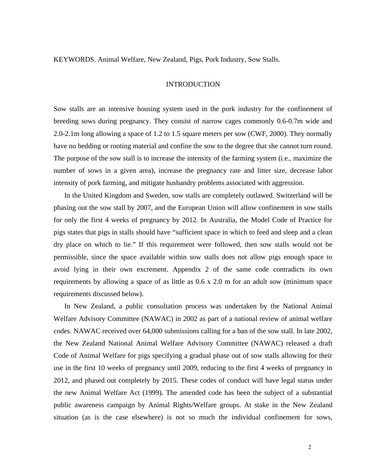KEYWORDS. Animal Welfare, New Zealand, Pigs, Pork Industry, Sow Stalls.

#### INTRODUCTION

Sow stalls are an intensive housing system used in the pork industry for the confinement of breeding sows during pregnancy. They consist of narrow cages commonly 0.6-0.7m wide and 2.0-2.1m long allowing a space of 1.2 to 1.5 square meters per sow (CWF, 2000). They normally have no bedding or rooting material and confine the sow to the degree that she cannot turn round. The purpose of the sow stall is to increase the intensity of the farming system (i.e., maximize the number of sows in a given area), increase the pregnancy rate and litter size, decrease labor intensity of pork farming, and mitigate husbandry problems associated with aggression.

In the United Kingdom and Sweden, sow stalls are completely outlawed. Switzerland will be phasing out the sow stall by 2007, and the European Union will allow confinement in sow stalls for only the first 4 weeks of pregnancy by 2012. In Australia, the Model Code of Practice for pigs states that pigs in stalls should have "sufficient space in which to feed and sleep and a clean dry place on which to lie." If this requirement were followed, then sow stalls would not be permissible, since the space available within sow stalls does not allow pigs enough space to avoid lying in their own excrement. Appendix 2 of the same code contradicts its own requirements by allowing a space of as little as 0.6 x 2.0 m for an adult sow (minimum space requirements discussed below).

In New Zealand, a public consultation process was undertaken by the National Animal Welfare Advisory Committee (NAWAC) in 2002 as part of a national review of animal welfare codes. NAWAC received over 64,000 submissions calling for a ban of the sow stall. In late 2002, the New Zealand National Animal Welfare Advisory Committee (NAWAC) released a draft Code of Animal Welfare for pigs specifying a gradual phase out of sow stalls allowing for their use in the first 10 weeks of pregnancy until 2009, reducing to the first 4 weeks of pregnancy in 2012, and phased out completely by 2015. These codes of conduct will have legal status under the new Animal Welfare Act (1999). The amended code has been the subject of a substantial public awareness campaign by Animal Rights/Welfare groups. At stake in the New Zealand situation (as is the case elsewhere) is not so much the individual confinement for sows,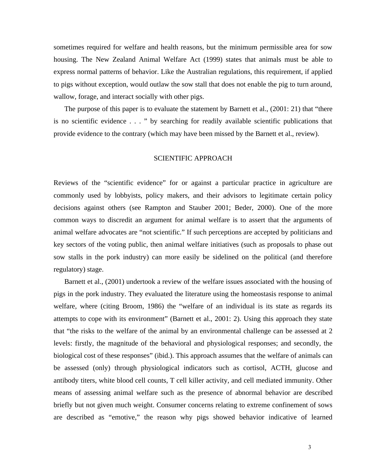sometimes required for welfare and health reasons, but the minimum permissible area for sow housing. The New Zealand Animal Welfare Act (1999) states that animals must be able to express normal patterns of behavior. Like the Australian regulations, this requirement, if applied to pigs without exception, would outlaw the sow stall that does not enable the pig to turn around, wallow, forage, and interact socially with other pigs.

The purpose of this paper is to evaluate the statement by Barnett et al., (2001: 21) that "there is no scientific evidence . . . " by searching for readily available scientific publications that provide evidence to the contrary (which may have been missed by the Barnett et al., review).

## SCIENTIFIC APPROACH

Reviews of the "scientific evidence" for or against a particular practice in agriculture are commonly used by lobbyists, policy makers, and their advisors to legitimate certain policy decisions against others (see Rampton and Stauber 2001; Beder, 2000). One of the more common ways to discredit an argument for animal welfare is to assert that the arguments of animal welfare advocates are "not scientific." If such perceptions are accepted by politicians and key sectors of the voting public, then animal welfare initiatives (such as proposals to phase out sow stalls in the pork industry) can more easily be sidelined on the political (and therefore regulatory) stage.

Barnett et al., (2001) undertook a review of the welfare issues associated with the housing of pigs in the pork industry. They evaluated the literature using the homeostasis response to animal welfare, where (citing Broom, 1986) the "welfare of an individual is its state as regards its attempts to cope with its environment" (Barnett et al., 2001: 2). Using this approach they state that "the risks to the welfare of the animal by an environmental challenge can be assessed at 2 levels: firstly, the magnitude of the behavioral and physiological responses; and secondly, the biological cost of these responses" (ibid.). This approach assumes that the welfare of animals can be assessed (only) through physiological indicators such as cortisol, ACTH, glucose and antibody titers, white blood cell counts, T cell killer activity, and cell mediated immunity. Other means of assessing animal welfare such as the presence of abnormal behavior are described briefly but not given much weight. Consumer concerns relating to extreme confinement of sows are described as "emotive," the reason why pigs showed behavior indicative of learned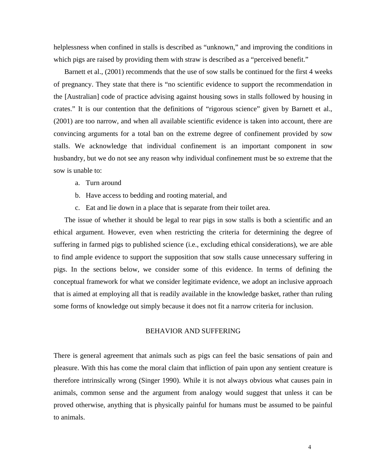helplessness when confined in stalls is described as "unknown," and improving the conditions in which pigs are raised by providing them with straw is described as a "perceived benefit."

Barnett et al., (2001) recommends that the use of sow stalls be continued for the first 4 weeks of pregnancy. They state that there is "no scientific evidence to support the recommendation in the [Australian] code of practice advising against housing sows in stalls followed by housing in crates." It is our contention that the definitions of "rigorous science" given by Barnett et al., (2001) are too narrow, and when all available scientific evidence is taken into account, there are convincing arguments for a total ban on the extreme degree of confinement provided by sow stalls. We acknowledge that individual confinement is an important component in sow husbandry, but we do not see any reason why individual confinement must be so extreme that the sow is unable to:

- a. Turn around
- b. Have access to bedding and rooting material, and
- c. Eat and lie down in a place that is separate from their toilet area.

The issue of whether it should be legal to rear pigs in sow stalls is both a scientific and an ethical argument. However, even when restricting the criteria for determining the degree of suffering in farmed pigs to published science (i.e., excluding ethical considerations), we are able to find ample evidence to support the supposition that sow stalls cause unnecessary suffering in pigs. In the sections below, we consider some of this evidence. In terms of defining the conceptual framework for what we consider legitimate evidence, we adopt an inclusive approach that is aimed at employing all that is readily available in the knowledge basket, rather than ruling some forms of knowledge out simply because it does not fit a narrow criteria for inclusion.

# BEHAVIOR AND SUFFERING

There is general agreement that animals such as pigs can feel the basic sensations of pain and pleasure. With this has come the moral claim that infliction of pain upon any sentient creature is therefore intrinsically wrong (Singer 1990). While it is not always obvious what causes pain in animals, common sense and the argument from analogy would suggest that unless it can be proved otherwise, anything that is physically painful for humans must be assumed to be painful to animals.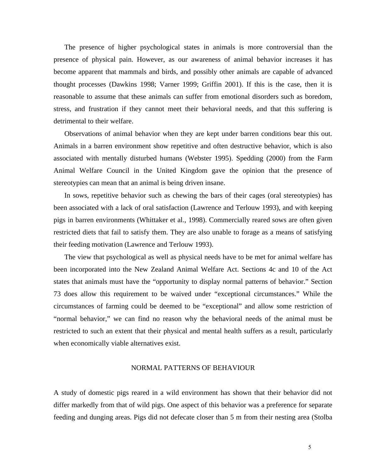The presence of higher psychological states in animals is more controversial than the presence of physical pain. However, as our awareness of animal behavior increases it has become apparent that mammals and birds, and possibly other animals are capable of advanced thought processes (Dawkins 1998; Varner 1999; Griffin 2001). If this is the case, then it is reasonable to assume that these animals can suffer from emotional disorders such as boredom, stress, and frustration if they cannot meet their behavioral needs, and that this suffering is detrimental to their welfare.

Observations of animal behavior when they are kept under barren conditions bear this out. Animals in a barren environment show repetitive and often destructive behavior, which is also associated with mentally disturbed humans (Webster 1995). Spedding (2000) from the Farm Animal Welfare Council in the United Kingdom gave the opinion that the presence of stereotypies can mean that an animal is being driven insane.

In sows, repetitive behavior such as chewing the bars of their cages (oral stereotypies) has been associated with a lack of oral satisfaction (Lawrence and Terlouw 1993), and with keeping pigs in barren environments (Whittaker et al., 1998). Commercially reared sows are often given restricted diets that fail to satisfy them. They are also unable to forage as a means of satisfying their feeding motivation (Lawrence and Terlouw 1993).

The view that psychological as well as physical needs have to be met for animal welfare has been incorporated into the New Zealand Animal Welfare Act. Sections 4c and 10 of the Act states that animals must have the "opportunity to display normal patterns of behavior." Section 73 does allow this requirement to be waived under "exceptional circumstances." While the circumstances of farming could be deemed to be "exceptional" and allow some restriction of "normal behavior," we can find no reason why the behavioral needs of the animal must be restricted to such an extent that their physical and mental health suffers as a result, particularly when economically viable alternatives exist.

#### NORMAL PATTERNS OF BEHAVIOUR

A study of domestic pigs reared in a wild environment has shown that their behavior did not differ markedly from that of wild pigs. One aspect of this behavior was a preference for separate feeding and dunging areas. Pigs did not defecate closer than 5 m from their nesting area (Stolba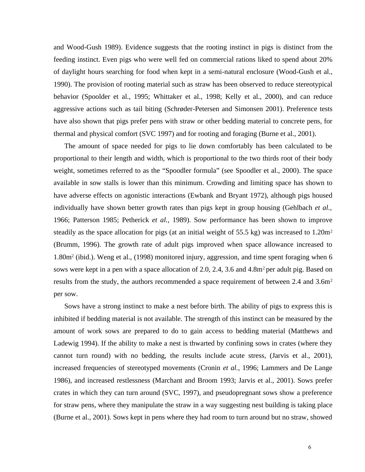and Wood-Gush 1989). Evidence suggests that the rooting instinct in pigs is distinct from the feeding instinct. Even pigs who were well fed on commercial rations liked to spend about 20% of daylight hours searching for food when kept in a semi-natural enclosure (Wood-Gush et al., 1990). The provision of rooting material such as straw has been observed to reduce stereotypical behavior (Spoolder et al., 1995; Whittaker et al., 1998; Kelly et al., 2000), and can reduce aggressive actions such as tail biting (Schrøder-Petersen and Simonsen 2001). Preference tests have also shown that pigs prefer pens with straw or other bedding material to concrete pens, for thermal and physical comfort (SVC 1997) and for rooting and foraging (Burne et al., 2001).

The amount of space needed for pigs to lie down comfortably has been calculated to be proportional to their length and width, which is proportional to the two thirds root of their body weight, sometimes referred to as the "Spoodler formula" (see Spoodler et al., 2000). The space available in sow stalls is lower than this minimum. Crowding and limiting space has shown to have adverse effects on agonistic interactions (Ewbank and Bryant 1972), although pigs housed individually have shown better growth rates than pigs kept in group housing (Gehlbach *et al.,* 1966; Patterson 1985; Petherick *et al.,* 1989). Sow performance has been shown to improve steadily as the space allocation for pigs (at an initial weight of 55.5 kg) was increased to  $1.20m^2$ (Brumm, 1996). The growth rate of adult pigs improved when space allowance increased to 1.80m<sup>2</sup> (ibid.). Weng et al., (1998) monitored injury, aggression, and time spent foraging when 6 sows were kept in a pen with a space allocation of 2.0, 2.4, 3.6 and  $4.8\text{m}^2$  per adult pig. Based on results from the study, the authors recommended a space requirement of between 2.4 and  $3.6m<sup>2</sup>$ per sow.

Sows have a strong instinct to make a nest before birth. The ability of pigs to express this is inhibited if bedding material is not available. The strength of this instinct can be measured by the amount of work sows are prepared to do to gain access to bedding material (Matthews and Ladewig 1994). If the ability to make a nest is thwarted by confining sows in crates (where they cannot turn round) with no bedding, the results include acute stress, (Jarvis et al., 2001), increased frequencies of stereotyped movements (Cronin *et al.,* 1996; Lammers and De Lange 1986), and increased restlessness (Marchant and Broom 1993; Jarvis et al., 2001). Sows prefer crates in which they can turn around (SVC, 1997), and pseudopregnant sows show a preference for straw pens, where they manipulate the straw in a way suggesting nest building is taking place (Burne et al., 2001). Sows kept in pens where they had room to turn around but no straw, showed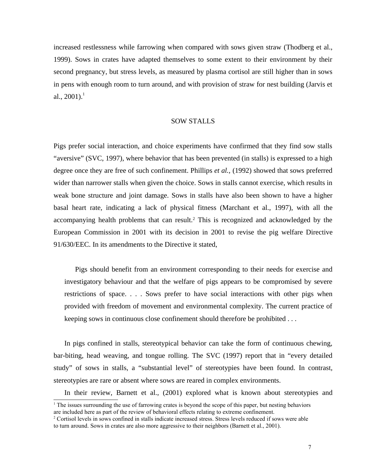increased restlessness while farrowing when compared with sows given straw (Thodberg et al., 1999). Sows in crates have adapted themselves to some extent to their environment by their second pregnancy, but stress levels, as measured by plasma cortisol are still higher than in sows in pens with enough room to turn around, and with provision of straw for nest building (Jarvis et al.,  $2001$  $2001$ .<sup>1</sup>

#### SOW STALLS

Pigs prefer social interaction, and choice experiments have confirmed that they find sow stalls "aversive" (SVC, 1997), where behavior that has been prevented (in stalls) is expressed to a high degree once they are free of such confinement. Phillips *et al.,* (1992) showed that sows preferred wider than narrower stalls when given the choice. Sows in stalls cannot exercise, which results in weak bone structure and joint damage. Sows in stalls have also been shown to have a higher basal heart rate, indicating a lack of physical fitness (Marchant et al., 1997), with all the accompanying health problems that can result.<sup>[2](#page-6-1)</sup> This is recognized and acknowledged by the European Commission in 2001 with its decision in 2001 to revise the pig welfare Directive 91/630/EEC. In its amendments to the Directive it stated,

Pigs should benefit from an environment corresponding to their needs for exercise and investigatory behaviour and that the welfare of pigs appears to be compromised by severe restrictions of space. . . . Sows prefer to have social interactions with other pigs when provided with freedom of movement and environmental complexity. The current practice of keeping sows in continuous close confinement should therefore be prohibited . . .

In pigs confined in stalls, stereotypical behavior can take the form of continuous chewing, bar-biting, head weaving, and tongue rolling. The SVC (1997) report that in "every detailed study" of sows in stalls, a "substantial level" of stereotypies have been found. In contrast, stereotypies are rare or absent where sows are reared in complex environments.

In their review, Barnett et al., (2001) explored what is known about stereotypies and

<span id="page-6-0"></span><sup>&</sup>lt;sup>1</sup> The issues surrounding the use of farrowing crates is beyond the scope of this paper, but nesting behaviors are included here as part of the review of behavioral effects relating to extreme confinement.

<span id="page-6-1"></span><sup>&</sup>lt;sup>2</sup> Cortisol levels in sows confined in stalls indicate increased stress. Stress levels reduced if sows were able to turn around. Sows in crates are also more aggressive to their neighbors (Barnett et al., 2001).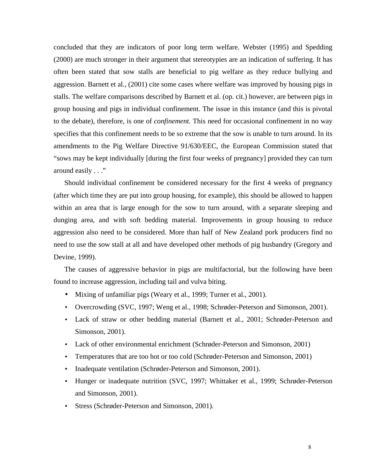concluded that they are indicators of poor long term welfare. Webster (1995) and Spedding (2000) are much stronger in their argument that stereotypies are an indication of suffering. It has often been stated that sow stalls are beneficial to pig welfare as they reduce bullying and aggression. Barnett et al., (2001) cite some cases where welfare was improved by housing pigs in stalls. The welfare comparisons described by Barnett et al. (op. cit.) however, are between pigs in group housing and pigs in individual confinement. The issue in this instance (and this is pivotal to the debate), therefore, is one of *confinement.* This need for occasional confinement in no way specifies that this confinement needs to be so extreme that the sow is unable to turn around. In its amendments to the Pig Welfare Directive 91/630/EEC, the European Commission stated that "sows may be kept individually [during the first four weeks of pregnancy] provided they can turn around easily . . ."

Should individual confinement be considered necessary for the first 4 weeks of pregnancy (after which time they are put into group housing, for example), this should be allowed to happen within an area that is large enough for the sow to turn around, with a separate sleeping and dunging area, and with soft bedding material. Improvements in group housing to reduce aggression also need to be considered. More than half of New Zealand pork producers find no need to use the sow stall at all and have developed other methods of pig husbandry (Gregory and Devine, 1999).

The causes of aggressive behavior in pigs are multifactorial, but the following have been found to increase aggression, including tail and vulva biting.

- Mixing of unfamiliar pigs (Weary et al., 1999; Turner et al., 2001).
- Overcrowding (SVC, 1997; Weng et al., 1998; Schrøder-Peterson and Simonson, 2001).
- Lack of straw or other bedding material (Barnett et al., 2001; Schrøder-Peterson and Simonson, 2001).
- Lack of other environmental enrichment (Schrøder-Peterson and Simonson, 2001)
- Temperatures that are too hot or too cold (Schrøder-Peterson and Simonson, 2001)
- Inadequate ventilation (Schrøder-Peterson and Simonson, 2001).
- Hunger or inadequate nutrition (SVC, 1997; Whittaker et al., 1999; Schrøder-Peterson and Simonson, 2001).
- Stress (Schrøder-Peterson and Simonson, 2001).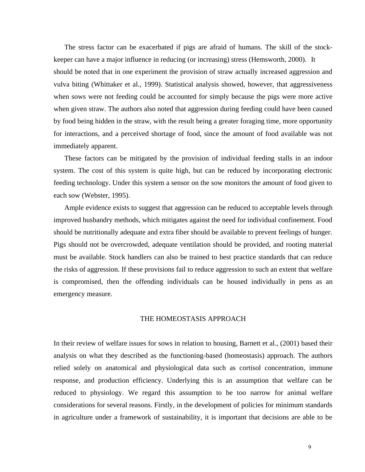The stress factor can be exacerbated if pigs are afraid of humans. The skill of the stockkeeper can have a major influence in reducing (or increasing) stress (Hemsworth, 2000). It should be noted that in one experiment the provision of straw actually increased aggression and vulva biting (Whittaker et al., 1999). Statistical analysis showed, however, that aggressiveness when sows were not feeding could be accounted for simply because the pigs were more active when given straw. The authors also noted that aggression during feeding could have been caused by food being hidden in the straw, with the result being a greater foraging time, more opportunity for interactions, and a perceived shortage of food, since the amount of food available was not immediately apparent.

These factors can be mitigated by the provision of individual feeding stalls in an indoor system. The cost of this system is quite high, but can be reduced by incorporating electronic feeding technology. Under this system a sensor on the sow monitors the amount of food given to each sow (Webster, 1995).

Ample evidence exists to suggest that aggression can be reduced to acceptable levels through improved husbandry methods, which mitigates against the need for individual confinement. Food should be nutritionally adequate and extra fiber should be available to prevent feelings of hunger. Pigs should not be overcrowded, adequate ventilation should be provided, and rooting material must be available. Stock handlers can also be trained to best practice standards that can reduce the risks of aggression. If these provisions fail to reduce aggression to such an extent that welfare is compromised, then the offending individuals can be housed individually in pens as an emergency measure.

## THE HOMEOSTASIS APPROACH

In their review of welfare issues for sows in relation to housing, Barnett et al., (2001) based their analysis on what they described as the functioning-based (homeostasis) approach. The authors relied solely on anatomical and physiological data such as cortisol concentration, immune response, and production efficiency. Underlying this is an assumption that welfare can be reduced to physiology. We regard this assumption to be too narrow for animal welfare considerations for several reasons. Firstly, in the development of policies for minimum standards in agriculture under a framework of sustainability, it is important that decisions are able to be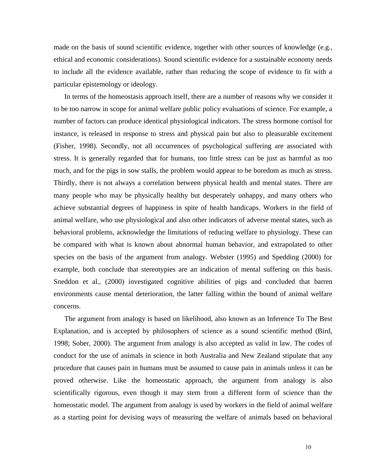made on the basis of sound scientific evidence, together with other sources of knowledge (e.g., ethical and economic considerations). Sound scientific evidence for a sustainable economy needs to include all the evidence available, rather than reducing the scope of evidence to fit with a particular epistemology or ideology.

In terms of the homeostasis approach itself, there are a number of reasons why we consider it to be too narrow in scope for animal welfare public policy evaluations of science. For example, a number of factors can produce identical physiological indicators. The stress hormone cortisol for instance, is released in response to stress and physical pain but also to pleasurable excitement (Fisher, 1998). Secondly, not all occurrences of psychological suffering are associated with stress. It is generally regarded that for humans, too little stress can be just as harmful as too much, and for the pigs in sow stalls, the problem would appear to be boredom as much as stress. Thirdly, there is not always a correlation between physical health and mental states. There are many people who may be physically healthy but desperately unhappy, and many others who achieve substantial degrees of happiness in spite of health handicaps. Workers in the field of animal welfare, who use physiological and also other indicators of adverse mental states, such as behavioral problems, acknowledge the limitations of reducing welfare to physiology. These can be compared with what is known about abnormal human behavior, and extrapolated to other species on the basis of the argument from analogy. Webster (1995) and Spedding (2000) for example, both conclude that stereotypies are an indication of mental suffering on this basis. Sneddon et al., (2000) investigated cognitive abilities of pigs and concluded that barren environments cause mental deterioration, the latter falling within the bound of animal welfare concerns.

The argument from analogy is based on likelihood, also known as an Inference To The Best Explanation, and is accepted by philosophers of science as a sound scientific method (Bird, 1998; Sober, 2000). The argument from analogy is also accepted as valid in law. The codes of conduct for the use of animals in science in both Australia and New Zealand stipulate that any procedure that causes pain in humans must be assumed to cause pain in animals unless it can be proved otherwise. Like the homeostatic approach, the argument from analogy is also scientifically rigorous, even though it may stem from a different form of science than the homeostatic model. The argument from analogy is used by workers in the field of animal welfare as a starting point for devising ways of measuring the welfare of animals based on behavioral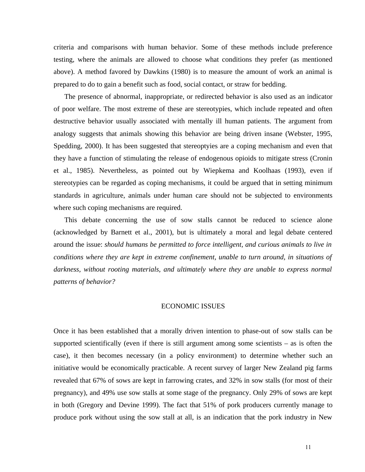criteria and comparisons with human behavior. Some of these methods include preference testing, where the animals are allowed to choose what conditions they prefer (as mentioned above). A method favored by Dawkins (1980) is to measure the amount of work an animal is prepared to do to gain a benefit such as food, social contact, or straw for bedding.

The presence of abnormal, inappropriate, or redirected behavior is also used as an indicator of poor welfare. The most extreme of these are stereotypies, which include repeated and often destructive behavior usually associated with mentally ill human patients. The argument from analogy suggests that animals showing this behavior are being driven insane (Webster, 1995, Spedding, 2000). It has been suggested that stereoptyies are a coping mechanism and even that they have a function of stimulating the release of endogenous opioids to mitigate stress (Cronin et al., 1985). Nevertheless, as pointed out by Wiepkema and Koolhaas (1993), even if stereotypies can be regarded as coping mechanisms, it could be argued that in setting minimum standards in agriculture, animals under human care should not be subjected to environments where such coping mechanisms are required.

This debate concerning the use of sow stalls cannot be reduced to science alone (acknowledged by Barnett et al., 2001), but is ultimately a moral and legal debate centered around the issue: *should humans be permitted to force intelligent, and curious animals to live in conditions where they are kept in extreme confinement, unable to turn around, in situations of darkness, without rooting materials, and ultimately where they are unable to express normal patterns of behavior?* 

#### ECONOMIC ISSUES

Once it has been established that a morally driven intention to phase-out of sow stalls can be supported scientifically (even if there is still argument among some scientists – as is often the case), it then becomes necessary (in a policy environment) to determine whether such an initiative would be economically practicable. A recent survey of larger New Zealand pig farms revealed that 67% of sows are kept in farrowing crates, and 32% in sow stalls (for most of their pregnancy), and 49% use sow stalls at some stage of the pregnancy. Only 29% of sows are kept in both (Gregory and Devine 1999). The fact that 51% of pork producers currently manage to produce pork without using the sow stall at all, is an indication that the pork industry in New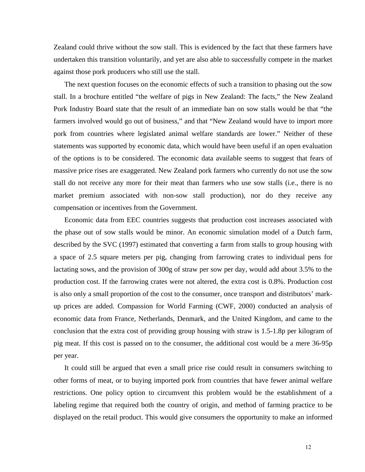Zealand could thrive without the sow stall. This is evidenced by the fact that these farmers have undertaken this transition voluntarily, and yet are also able to successfully compete in the market against those pork producers who still use the stall.

The next question focuses on the economic effects of such a transition to phasing out the sow stall. In a brochure entitled "the welfare of pigs in New Zealand: The facts," the New Zealand Pork Industry Board state that the result of an immediate ban on sow stalls would be that "the farmers involved would go out of business," and that "New Zealand would have to import more pork from countries where legislated animal welfare standards are lower." Neither of these statements was supported by economic data, which would have been useful if an open evaluation of the options is to be considered. The economic data available seems to suggest that fears of massive price rises are exaggerated. New Zealand pork farmers who currently do not use the sow stall do not receive any more for their meat than farmers who use sow stalls (i.e., there is no market premium associated with non-sow stall production), nor do they receive any compensation or incentives from the Government.

Economic data from EEC countries suggests that production cost increases associated with the phase out of sow stalls would be minor. An economic simulation model of a Dutch farm, described by the SVC (1997) estimated that converting a farm from stalls to group housing with a space of 2.5 square meters per pig, changing from farrowing crates to individual pens for lactating sows, and the provision of 300g of straw per sow per day, would add about 3.5% to the production cost. If the farrowing crates were not altered, the extra cost is 0.8%. Production cost is also only a small proportion of the cost to the consumer, once transport and distributors' markup prices are added. Compassion for World Farming (CWF, 2000) conducted an analysis of economic data from France, Netherlands, Denmark, and the United Kingdom, and came to the conclusion that the extra cost of providing group housing with straw is 1.5-1.8p per kilogram of pig meat. If this cost is passed on to the consumer, the additional cost would be a mere 36-95p per year.

It could still be argued that even a small price rise could result in consumers switching to other forms of meat, or to buying imported pork from countries that have fewer animal welfare restrictions. One policy option to circumvent this problem would be the establishment of a labeling regime that required both the country of origin, and method of farming practice to be displayed on the retail product. This would give consumers the opportunity to make an informed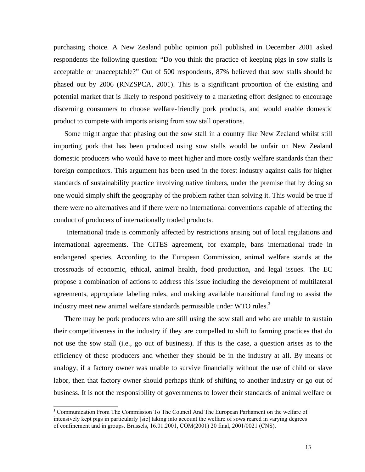purchasing choice. A New Zealand public opinion poll published in December 2001 asked respondents the following question: "Do you think the practice of keeping pigs in sow stalls is acceptable or unacceptable?" Out of 500 respondents, 87% believed that sow stalls should be phased out by 2006 (RNZSPCA, 2001). This is a significant proportion of the existing and potential market that is likely to respond positively to a marketing effort designed to encourage discerning consumers to choose welfare-friendly pork products, and would enable domestic product to compete with imports arising from sow stall operations.

Some might argue that phasing out the sow stall in a country like New Zealand whilst still importing pork that has been produced using sow stalls would be unfair on New Zealand domestic producers who would have to meet higher and more costly welfare standards than their foreign competitors. This argument has been used in the forest industry against calls for higher standards of sustainability practice involving native timbers, under the premise that by doing so one would simply shift the geography of the problem rather than solving it. This would be true if there were no alternatives and if there were no international conventions capable of affecting the conduct of producers of internationally traded products.

 International trade is commonly affected by restrictions arising out of local regulations and international agreements. The CITES agreement, for example, bans international trade in endangered species. According to the European Commission, animal welfare stands at the crossroads of economic, ethical, animal health, food production, and legal issues. The EC propose a combination of actions to address this issue including the development of multilateral agreements, appropriate labeling rules, and making available transitional funding to assist the industry meet new animal welfare standards permissible under WTO rules.<sup>[3](#page-12-0)</sup>

There may be pork producers who are still using the sow stall and who are unable to sustain their competitiveness in the industry if they are compelled to shift to farming practices that do not use the sow stall (i.e., go out of business). If this is the case, a question arises as to the efficiency of these producers and whether they should be in the industry at all. By means of analogy, if a factory owner was unable to survive financially without the use of child or slave labor, then that factory owner should perhaps think of shifting to another industry or go out of business. It is not the responsibility of governments to lower their standards of animal welfare or

<span id="page-12-0"></span><sup>&</sup>lt;sup>3</sup> Communication From The Commission To The Council And The European Parliament on the welfare of intensively kept pigs in particularly [sic] taking into account the welfare of sows reared in varying degrees of confinement and in groups. Brussels, 16.01.2001, COM(2001) 20 final, 2001/0021 (CNS).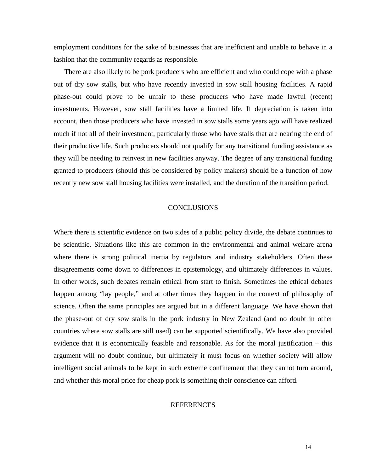employment conditions for the sake of businesses that are inefficient and unable to behave in a fashion that the community regards as responsible.

There are also likely to be pork producers who are efficient and who could cope with a phase out of dry sow stalls, but who have recently invested in sow stall housing facilities. A rapid phase-out could prove to be unfair to these producers who have made lawful (recent) investments. However, sow stall facilities have a limited life. If depreciation is taken into account, then those producers who have invested in sow stalls some years ago will have realized much if not all of their investment, particularly those who have stalls that are nearing the end of their productive life. Such producers should not qualify for any transitional funding assistance as they will be needing to reinvest in new facilities anyway. The degree of any transitional funding granted to producers (should this be considered by policy makers) should be a function of how recently new sow stall housing facilities were installed, and the duration of the transition period.

#### **CONCLUSIONS**

Where there is scientific evidence on two sides of a public policy divide, the debate continues to be scientific. Situations like this are common in the environmental and animal welfare arena where there is strong political inertia by regulators and industry stakeholders. Often these disagreements come down to differences in epistemology, and ultimately differences in values. In other words, such debates remain ethical from start to finish. Sometimes the ethical debates happen among "lay people," and at other times they happen in the context of philosophy of science. Often the same principles are argued but in a different language. We have shown that the phase-out of dry sow stalls in the pork industry in New Zealand (and no doubt in other countries where sow stalls are still used) can be supported scientifically. We have also provided evidence that it is economically feasible and reasonable. As for the moral justification – this argument will no doubt continue, but ultimately it must focus on whether society will allow intelligent social animals to be kept in such extreme confinement that they cannot turn around, and whether this moral price for cheap pork is something their conscience can afford.

## **REFERENCES**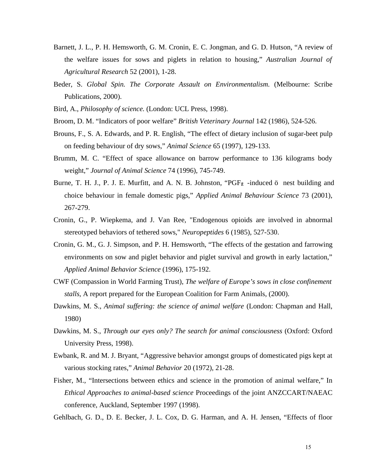- Barnett, J. L., P. H. Hemsworth, G. M. Cronin, E. C. Jongman, and G. D. Hutson, "A review of the welfare issues for sows and piglets in relation to housing," *Australian Journal of Agricultural Research* 52 (2001), 1-28.
- Beder, S. *Global Spin. The Corporate Assault on Environmentalism.* (Melbourne: Scribe Publications, 2000).
- Bird, A., *Philosophy of science.* (London: UCL Press, 1998).
- Broom, D. M. "Indicators of poor welfare" *British Veterinary Journal* 142 (1986), 524-526.
- Brouns, F., S. A. Edwards, and P. R. English, "The effect of dietary inclusion of sugar-beet pulp on feeding behaviour of dry sows," *Animal Science* 65 (1997), 129-133.
- Brumm, M. C. "Effect of space allowance on barrow performance to 136 kilograms body weight," *Journal of Animal Science* 74 (1996), 745-749.
- Burne, T. H. J., P. J. E. Murfitt, and A. N. B. Johnston, "PGF $_{\vec{x}}$  -induced ö nest building and choice behaviour in female domestic pigs," *Applied Animal Behaviour Science* 73 (2001), 267-279.
- Cronin, G., P. Wiepkema, and J. Van Ree, "Endogenous opioids are involved in abnormal stereotyped behaviors of tethered sows," *Neuropeptides* 6 (1985), 527-530.
- Cronin, G. M., G. J. Simpson, and P. H. Hemsworth, "The effects of the gestation and farrowing environments on sow and piglet behavior and piglet survival and growth in early lactation," *Applied Animal Behavior Science* (1996), 175-192.
- CWF (Compassion in World Farming Trust), *The welfare of Europe's sows in close confinement stalls,* A report prepared for the European Coalition for Farm Animals, (2000).
- Dawkins, M. S., *Animal suffering: the science of animal welfare* (London: Chapman and Hall, 1980)
- Dawkins, M. S., *Through our eyes only? The search for animal consciousness* (Oxford: Oxford University Press, 1998).
- Ewbank, R. and M. J. Bryant, "Aggressive behavior amongst groups of domesticated pigs kept at various stocking rates," *Animal Behavior* 20 (1972), 21-28.
- Fisher, M., "Intersections between ethics and science in the promotion of animal welfare," In *Ethical Approaches to animal-based science* Proceedings of the joint ANZCCART/NAEAC conference, Auckland, September 1997 (1998).
- Gehlbach, G. D., D. E. Becker, J. L. Cox, D. G. Harman, and A. H. Jensen, "Effects of floor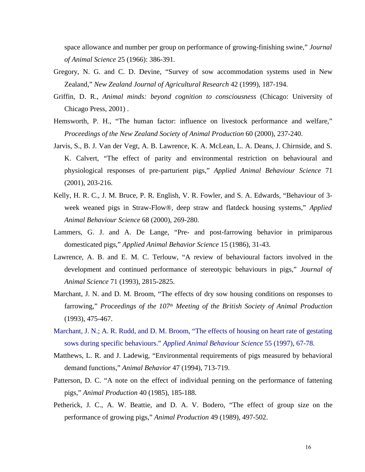space allowance and number per group on performance of growing-finishing swine," *Journal of Animal Science* 25 (1966): 386-391.

- Gregory, N. G. and C. D. Devine, "Survey of sow accommodation systems used in New Zealand," *New Zealand Journal of Agricultural Research* 42 (1999), 187-194.
- Griffin, D. R., *Animal minds: beyond cognition to consciousness* (Chicago: University of Chicago Press, 2001) .
- Hemsworth, P. H., "The human factor: influence on livestock performance and welfare," *Proceedings of the New Zealand Society of Animal Production* 60 (2000), 237-240.
- Jarvis, S., B. J. Van der Vegt, A. B. Lawrence, K. A. McLean, L. A. Deans, J. Chirnside, and S. K. Calvert, "The effect of parity and environmental restriction on behavioural and physiological responses of pre-parturient pigs," *Applied Animal Behaviour Science* 71 (2001), 203-216.
- Kelly, H. R. C., J. M. Bruce, P. R. English, V. R. Fowler, and S. A. Edwards, "Behaviour of 3 week weaned pigs in Straw-Flow®, deep straw and flatdeck housing systems," *Applied Animal Behaviour Science* 68 (2000), 269-280.
- Lammers, G. J. and A. De Lange, "Pre- and post-farrowing behavior in primiparous domesticated pigs," *Applied Animal Behavior Science* 15 (1986), 31-43.
- Lawrence, A. B. and E. M. C. Terlouw, "A review of behavioural factors involved in the development and continued performance of stereotypic behaviours in pigs," *Journal of Animal Science* 71 (1993), 2815-2825.
- Marchant, J. N. and D. M. Broom, "The effects of dry sow housing conditions on responses to farrowing," *Proceedings of the 107th Meeting of the British Society of Animal Production* (1993), 475-467.
- Marchant, J. N.; A. R. Rudd, and D. M. Broom, "The effects of housing on heart rate of gestating sows during specific behaviours." *Applied Animal Behaviour Science* 55 (1997), 67-78.
- Matthews, L. R. and J. Ladewig, "Environmental requirements of pigs measured by behavioral demand functions," *Animal Behavior* 47 (1994), 713-719.
- Patterson, D. C. "A note on the effect of individual penning on the performance of fattening pigs," *Animal Production* 40 (1985), 185-188.
- Petherick, J. C., A. W. Beattie, and D. A. V. Bodero, "The effect of group size on the performance of growing pigs," *Animal Production* 49 (1989), 497-502.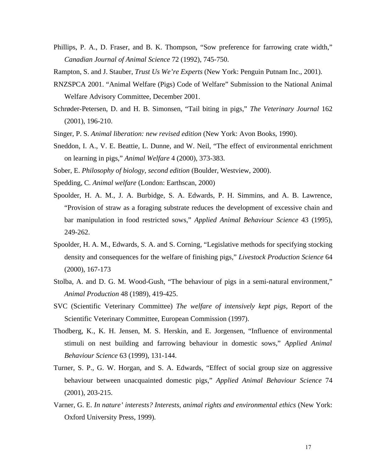- Phillips, P. A., D. Fraser, and B. K. Thompson, "Sow preference for farrowing crate width," *Canadian Journal of Animal Science* 72 (1992), 745-750.
- Rampton, S. and J. Stauber, *Trust Us We're Experts* (New York: Penguin Putnam Inc., 2001).
- RNZSPCA 2001. "Animal Welfare (Pigs) Code of Welfare" Submission to the National Animal Welfare Advisory Committee, December 2001.
- Schrøder-Petersen, D. and H. B. Simonsen, "Tail biting in pigs," *The Veterinary Journal* 162 (2001), 196-210.
- Singer, P. S. *Animal liberation: new revised edition* (New York: Avon Books, 1990).
- Sneddon, I. A., V. E. Beattie, L. Dunne, and W. Neil, "The effect of environmental enrichment on learning in pigs," *Animal Welfare* 4 (2000), 373-383.
- Sober, E. *Philosophy of biology, second edition* (Boulder, Westview, 2000).
- Spedding, C. *Animal welfare* (London: Earthscan, 2000)
- Spoolder, H. A. M., J. A. Burbidge, S. A. Edwards, P. H. Simmins, and A. B. Lawrence, "Provision of straw as a foraging substrate reduces the development of excessive chain and bar manipulation in food restricted sows," *Applied Animal Behaviour Science* 43 (1995), 249-262.
- Spoolder, H. A. M., Edwards, S. A. and S. Corning, "Legislative methods for specifying stocking density and consequences for the welfare of finishing pigs," *Livestock Production Science* 64 (2000), 167-173
- Stolba, A. and D. G. M. Wood-Gush, "The behaviour of pigs in a semi-natural environment," *Animal Production* 48 (1989), 419-425.
- SVC (Scientific Veterinary Committee) *The welfare of intensively kept pigs,* Report of the Scientific Veterinary Committee, European Commission (1997).
- Thodberg, K., K. H. Jensen, M. S. Herskin, and E. Jorgensen, "Influence of environmental stimuli on nest building and farrowing behaviour in domestic sows," *Applied Animal Behaviour Science* 63 (1999), 131-144.
- Turner, S. P., G. W. Horgan, and S. A. Edwards, "Effect of social group size on aggressive behaviour between unacquainted domestic pigs," *Applied Animal Behaviour Science* 74 (2001), 203-215.
- Varner, G. E. *In nature' interests? Interests, animal rights and environmental ethics* (New York: Oxford University Press, 1999).